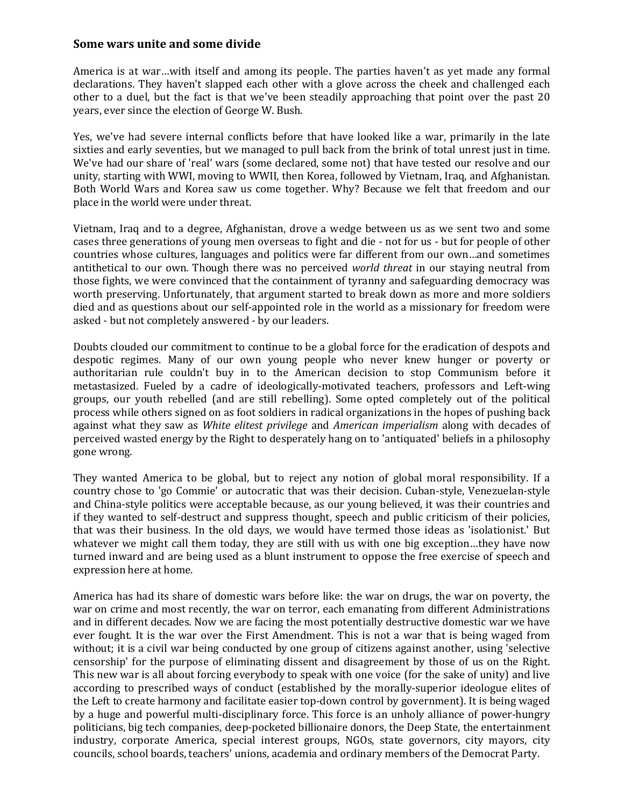## **Some wars unite and some divide**

America is at war…with itself and among its people. The parties haven't as yet made any formal declarations. They haven't slapped each other with a glove across the cheek and challenged each other to a duel, but the fact is that we've been steadily approaching that point over the past 20 years, ever since the election of George W. Bush.

Yes, we've had severe internal conflicts before that have looked like a war, primarily in the late sixties and early seventies, but we managed to pull back from the brink of total unrest just in time. We've had our share of 'real' wars (some declared, some not) that have tested our resolve and our unity, starting with WWI, moving to WWII, then Korea, followed by Vietnam, Iraq, and Afghanistan. Both World Wars and Korea saw us come together. Why? Because we felt that freedom and our place in the world were under threat.

Vietnam, Iraq and to a degree, Afghanistan, drove a wedge between us as we sent two and some cases three generations of young men overseas to fight and die - not for us - but for people of other countries whose cultures, languages and politics were far different from our own…and sometimes antithetical to our own. Though there was no perceived *world threat* in our staying neutral from those fights, we were convinced that the containment of tyranny and safeguarding democracy was worth preserving. Unfortunately, that argument started to break down as more and more soldiers died and as questions about our self-appointed role in the world as a missionary for freedom were asked - but not completely answered - by our leaders.

Doubts clouded our commitment to continue to be a global force for the eradication of despots and despotic regimes. Many of our own young people who never knew hunger or poverty or authoritarian rule couldn't buy in to the American decision to stop Communism before it metastasized. Fueled by a cadre of ideologically-motivated teachers, professors and Left-wing groups, our youth rebelled (and are still rebelling). Some opted completely out of the political process while others signed on as foot soldiers in radical organizations in the hopes of pushing back against what they saw as *White elitest privilege* and *American imperialism* along with decades of perceived wasted energy by the Right to desperately hang on to 'antiquated' beliefs in a philosophy gone wrong.

They wanted America to be global, but to reject any notion of global moral responsibility. If a country chose to 'go Commie' or autocratic that was their decision. Cuban-style, Venezuelan-style and China-style politics were acceptable because, as our young believed, it was their countries and if they wanted to self-destruct and suppress thought, speech and public criticism of their policies, that was their business. In the old days, we would have termed those ideas as 'isolationist.' But whatever we might call them today, they are still with us with one big exception...they have now turned inward and are being used as a blunt instrument to oppose the free exercise of speech and expression here at home.

America has had its share of domestic wars before like: the war on drugs, the war on poverty, the war on crime and most recently, the war on terror, each emanating from different Administrations and in different decades. Now we are facing the most potentially destructive domestic war we have ever fought. It is the war over the First Amendment. This is not a war that is being waged from without; it is a civil war being conducted by one group of citizens against another, using 'selective censorship' for the purpose of eliminating dissent and disagreement by those of us on the Right. This new war is all about forcing everybody to speak with one voice (for the sake of unity) and live according to prescribed ways of conduct (established by the morally-superior ideologue elites of the Left to create harmony and facilitate easier top-down control by government). It is being waged by a huge and powerful multi-disciplinary force. This force is an unholy alliance of power-hungry politicians, big tech companies, deep-pocketed billionaire donors, the Deep State, the entertainment industry, corporate America, special interest groups, NGOs, state governors, city mayors, city councils, school boards, teachers' unions, academia and ordinary members of the Democrat Party.